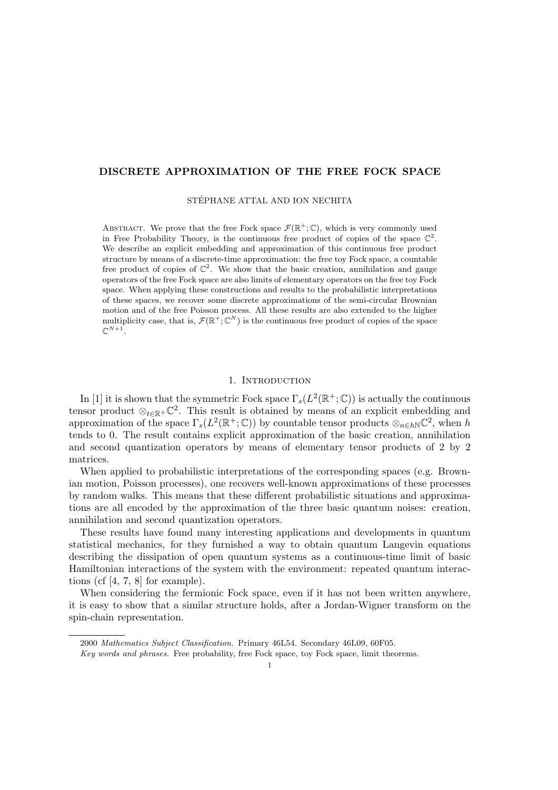# DISCRETE APPROXIMATION OF THE FREE FOCK SPACE

STÉPHANE ATTAL AND ION NECHITA

ABSTRACT. We prove that the free Fock space  $\mathcal{F}(\mathbb{R}^+;\mathbb{C})$ , which is very commonly used in Free Probability Theory, is the continuous free product of copies of the space  $\mathbb{C}^2$ . We describe an explicit embedding and approximation of this continuous free product structure by means of a discrete-time approximation: the free toy Fock space, a countable free product of copies of  $\mathbb{C}^2$ . We show that the basic creation, annihilation and gauge operators of the free Fock space are also limits of elementary operators on the free toy Fock space. When applying these constructions and results to the probabilistic interpretations of these spaces, we recover some discrete approximations of the semi-circular Brownian motion and of the free Poisson process. All these results are also extended to the higher multiplicity case, that is,  $\mathcal{F}(\mathbb{R}^+;\mathbb{C}^N)$  is the continuous free product of copies of the space  $\mathbb{C}^{N+1}.$ 

## 1. INTRODUCTION

In [1] it is shown that the symmetric Fock space  $\Gamma_s(L^2(\mathbb{R}^+;\mathbb{C}))$  is actually the continuous tensor product  $\otimes_{t\in\mathbb{R}^+}\mathbb{C}^2$ . This result is obtained by means of an explicit embedding and approximation of the space  $\Gamma_s(L^2(\mathbb{R}^+;\mathbb{C}))$  by countable tensor products  $\otimes_{n\in h\mathbb{N}}\mathbb{C}^2$ , when h tends to 0. The result contains explicit approximation of the basic creation, annihilation and second quantization operators by means of elementary tensor products of 2 by 2 matrices.

When applied to probabilistic interpretations of the corresponding spaces (e.g. Brownian motion, Poisson processes), one recovers well-known approximations of these processes by random walks. This means that these different probabilistic situations and approximations are all encoded by the approximation of the three basic quantum noises: creation, annihilation and second quantization operators.

These results have found many interesting applications and developments in quantum statistical mechanics, for they furnished a way to obtain quantum Langevin equations describing the dissipation of open quantum systems as a continuous-time limit of basic Hamiltonian interactions of the system with the environment: repeated quantum interactions (cf [4, 7, 8] for example).

When considering the fermionic Fock space, even if it has not been written anywhere, it is easy to show that a similar structure holds, after a Jordan-Wigner transform on the spin-chain representation.

<sup>2000</sup> Mathematics Subject Classification. Primary 46L54. Secondary 46L09, 60F05.

Key words and phrases. Free probability, free Fock space, toy Fock space, limit theorems.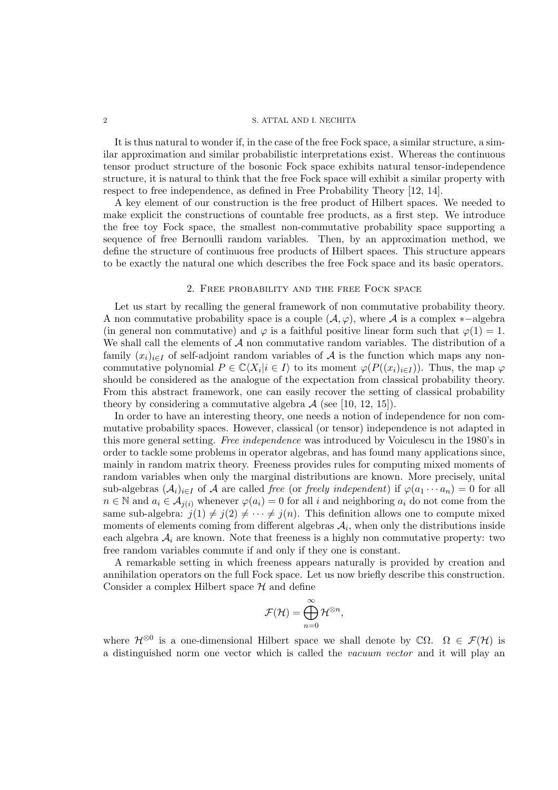It is thus natural to wonder if, in the case of the free Fock space, a similar structure, a similar approximation and similar probabilistic interpretations exist. Whereas the continuous tensor product structure of the bosonic Fock space exhibits natural tensor-independence structure, it is natural to think that the free Fock space will exhibit a similar property with respect to free independence, as defined in Free Probability Theory [12, 14].

A key element of our construction is the free product of Hilbert spaces. We needed to make explicit the constructions of countable free products, as a first step. We introduce the free toy Fock space, the smallest non-commutative probability space supporting a sequence of free Bernoulli random variables. Then, by an approximation method, we define the structure of continuous free products of Hilbert spaces. This structure appears to be exactly the natural one which describes the free Fock space and its basic operators.

### 2. Free probability and the free Fock space

Let us start by recalling the general framework of non commutative probability theory. A non commutative probability space is a couple  $(\mathcal{A}, \varphi)$ , where A is a complex ∗-algebra (in general non commutative) and  $\varphi$  is a faithful positive linear form such that  $\varphi(1) = 1$ . We shall call the elements of  $A$  non commutative random variables. The distribution of a family  $(x_i)_{i\in I}$  of self-adjoint random variables of A is the function which maps any noncommutative polynomial  $P \in \mathbb{C}\langle X_i | i \in I \rangle$  to its moment  $\varphi(P((x_i)_{i \in I}))$ . Thus, the map  $\varphi$ should be considered as the analogue of the expectation from classical probability theory. From this abstract framework, one can easily recover the setting of classical probability theory by considering a commutative algebra  $A$  (see [10, 12, 15]).

In order to have an interesting theory, one needs a notion of independence for non commutative probability spaces. However, classical (or tensor) independence is not adapted in this more general setting. *Free independence* was introduced by Voiculescu in the 1980's in order to tackle some problems in operator algebras, and has found many applications since, mainly in random matrix theory. Freeness provides rules for computing mixed moments of random variables when only the marginal distributions are known. More precisely, unital sub-algebras  $(\mathcal{A}_i)_{i\in I}$  of  $\mathcal A$  are called *free* (or *freely independent*) if  $\varphi(a_1 \cdots a_n) = 0$  for all  $n \in \mathbb{N}$  and  $a_i \in \mathcal{A}_{i(i)}$  whenever  $\varphi(a_i) = 0$  for all i and neighboring  $a_i$  do not come from the same sub-algebra:  $j(1) \neq j(2) \neq \cdots \neq j(n)$ . This definition allows one to compute mixed moments of elements coming from different algebras  $A_i$ , when only the distributions inside each algebra  $A_i$  are known. Note that freeness is a highly non commutative property: two free random variables commute if and only if they one is constant.

A remarkable setting in which freeness appears naturally is provided by creation and annihilation operators on the full Fock space. Let us now briefly describe this construction. Consider a complex Hilbert space  $\mathcal H$  and define

$$
\mathcal{F}(\mathcal{H})=\bigoplus_{n=0}^\infty\mathcal{H}^{\otimes n},
$$

where  $\mathcal{H}^{\otimes 0}$  is a one-dimensional Hilbert space we shall denote by  $\mathbb{C}\Omega$ .  $\Omega \in \mathcal{F}(\mathcal{H})$  is a distinguished norm one vector which is called the *vacuum vector* and it will play an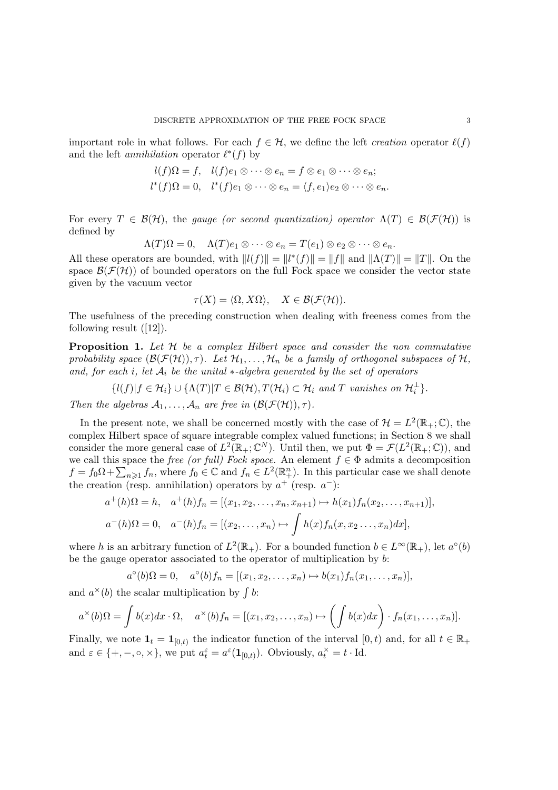important role in what follows. For each  $f \in \mathcal{H}$ , we define the left *creation* operator  $\ell(f)$ and the left *annihilation* operator  $\ell^*(f)$  by

$$
l(f)\Omega = f, \quad l(f)e_1 \otimes \cdots \otimes e_n = f \otimes e_1 \otimes \cdots \otimes e_n;
$$
  

$$
l^*(f)\Omega = 0, \quad l^*(f)e_1 \otimes \cdots \otimes e_n = \langle f, e_1 \rangle e_2 \otimes \cdots \otimes e_n.
$$

For every  $T \in \mathcal{B}(\mathcal{H})$ , the *gauge (or second quantization) operator*  $\Lambda(T) \in \mathcal{B}(\mathcal{F}(\mathcal{H}))$  is defined by

$$
\Lambda(T)\Omega = 0, \quad \Lambda(T)e_1 \otimes \cdots \otimes e_n = T(e_1) \otimes e_2 \otimes \cdots \otimes e_n.
$$

All these operators are bounded, with  $||l(f)|| = ||l^*(f)|| = ||f||$  and  $||\Lambda(T)|| = ||T||$ . On the space  $\mathcal{B}(\mathcal{F}(\mathcal{H}))$  of bounded operators on the full Fock space we consider the vector state given by the vacuum vector

$$
\tau(X) = \langle \Omega, X\Omega \rangle, \quad X \in \mathcal{B}(\mathcal{F}(\mathcal{H})).
$$

The usefulness of the preceding construction when dealing with freeness comes from the following result  $([12])$ .

Proposition 1. *Let* H *be a complex Hilbert space and consider the non commutative probability space*  $(\mathcal{B}(\mathcal{F}(\mathcal{H}))$ ,  $\tau)$ *. Let*  $\mathcal{H}_1, \ldots, \mathcal{H}_n$  *be a family of orthogonal subspaces of*  $\mathcal{H}$ *, and, for each* i*, let* A<sup>i</sup> *be the unital* ∗*-algebra generated by the set of operators*

$$
\{l(f)|f\in\mathcal{H}_i\}\cup\{\Lambda(T)|T\in\mathcal{B}(\mathcal{H}),T(\mathcal{H}_i)\subset\mathcal{H}_i\text{ and }T\text{ vanishes on }\mathcal{H}_i^{\perp}\}.
$$

*Then the algebras*  $A_1, \ldots, A_n$  *are free in*  $(\mathcal{B}(\mathcal{F}(\mathcal{H})) , \tau)$ *.* 

In the present note, we shall be concerned mostly with the case of  $\mathcal{H} = L^2(\mathbb{R}_+;\mathbb{C})$ , the complex Hilbert space of square integrable complex valued functions; in Section 8 we shall consider the more general case of  $L^2(\mathbb{R}_+;\mathbb{C}^N)$ . Until then, we put  $\Phi = \mathcal{F}(L^2(\mathbb{R}_+;\mathbb{C}))$ , and we call this space the *free (or full) Fock space*. An element  $f \in \Phi$  admits a decomposition  $f = f_0 \Omega + \sum_{n \geq 1} f_n$ , where  $f_0 \in \mathbb{C}$  and  $f_n \in L^2(\mathbb{R}^n_+)$ . In this particular case we shall denote the creation (resp. annihilation) operators by  $a^+$  (resp.  $a^-$ ):

$$
a^+(h)\Omega = h, \quad a^+(h)f_n = [(x_1, x_2, \dots, x_n, x_{n+1}) \mapsto h(x_1)f_n(x_2, \dots, x_{n+1})],
$$
  

$$
a^-(h)\Omega = 0, \quad a^-(h)f_n = [(x_2, \dots, x_n) \mapsto \int h(x)f_n(x, x_2 \dots, x_n)dx],
$$

where h is an arbitrary function of  $L^2(\mathbb{R}_+)$ . For a bounded function  $b \in L^{\infty}(\mathbb{R}_+)$ , let  $a^{\circ}(b)$ be the gauge operator associated to the operator of multiplication by b:

$$
a^{\circ}(b)\Omega = 0
$$
,  $a^{\circ}(b)f_n = [(x_1, x_2, ..., x_n) \mapsto b(x_1)f_n(x_1, ..., x_n)],$ 

and  $a^*(b)$  the scalar multiplication by  $\int b$ :

$$
a^{\times}(b)\Omega = \int b(x)dx \cdot \Omega, \quad a^{\times}(b)f_n = [(x_1, x_2, \ldots, x_n) \mapsto (\int b(x)dx) \cdot f_n(x_1, \ldots, x_n)].
$$

Finally, we note  $\mathbf{1}_t = \mathbf{1}_{[0,t)}$  the indicator function of the interval  $[0,t)$  and, for all  $t \in \mathbb{R}_+$ and  $\varepsilon \in \{+, -, \circ, \times\}$ , we put  $a_t^{\varepsilon} = a^{\varepsilon}(\mathbf{1}_{[0,t)})$ . Obviously,  $a_t^{\times} = t \cdot \text{Id}$ .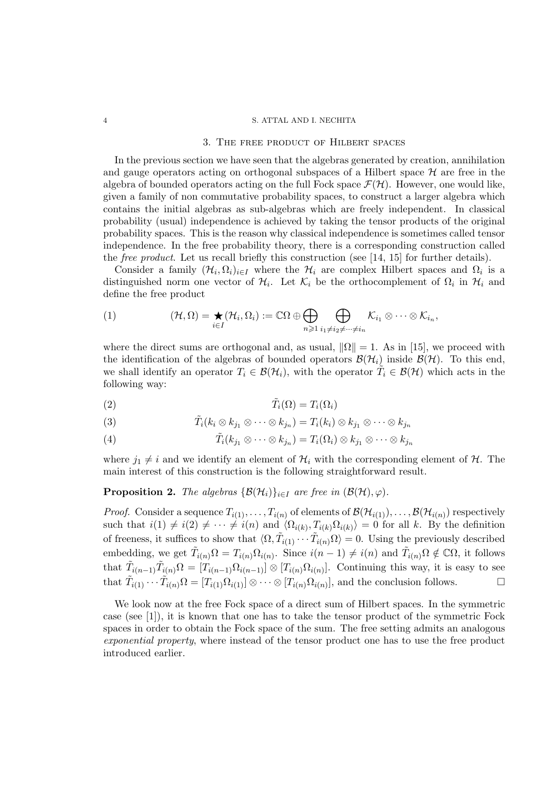### 3. The free product of Hilbert spaces

In the previous section we have seen that the algebras generated by creation, annihilation and gauge operators acting on orthogonal subspaces of a Hilbert space  $\mathcal H$  are free in the algebra of bounded operators acting on the full Fock space  $\mathcal{F}(\mathcal{H})$ . However, one would like, given a family of non commutative probability spaces, to construct a larger algebra which contains the initial algebras as sub-algebras which are freely independent. In classical probability (usual) independence is achieved by taking the tensor products of the original probability spaces. This is the reason why classical independence is sometimes called tensor independence. In the free probability theory, there is a corresponding construction called the *free product*. Let us recall briefly this construction (see [14, 15] for further details).

Consider a family  $(\mathcal{H}_i, \Omega_i)_{i \in I}$  where the  $\mathcal{H}_i$  are complex Hilbert spaces and  $\Omega_i$  is a distinguished norm one vector of  $\mathcal{H}_i$ . Let  $\mathcal{K}_i$  be the orthocomplement of  $\Omega_i$  in  $\mathcal{H}_i$  and define the free product

$$
(1) \qquad (\mathcal{H},\Omega)=\bigstar_{i\in I}(\mathcal{H}_i,\Omega_i):=\mathbb{C}\Omega\oplus\bigoplus_{n\geqslant 1}\bigoplus_{i_1\neq i_2\neq\cdots\neq i_n}\mathcal{K}_{i_1}\otimes\cdots\otimes\mathcal{K}_{i_n},
$$

where the direct sums are orthogonal and, as usual,  $\|\Omega\| = 1$ . As in [15], we proceed with the identification of the algebras of bounded operators  $\mathcal{B}(\mathcal{H}_i)$  inside  $\mathcal{B}(\mathcal{H})$ . To this end, we shall identify an operator  $T_i \in \mathcal{B}(\mathcal{H}_i)$ , with the operator  $\tilde{T}_i \in \mathcal{B}(\mathcal{H})$  which acts in the following way:

T˜ (2) <sup>i</sup>(Ω) = Ti(Ωi)

(3) 
$$
\tilde{T}_i(k_i \otimes k_{j_1} \otimes \cdots \otimes k_{j_n}) = T_i(k_i) \otimes k_{j_1} \otimes \cdots \otimes k_{j_n}
$$

(4) 
$$
\tilde{T}_i(k_{j_1} \otimes \cdots \otimes k_{j_n}) = T_i(\Omega_i) \otimes k_{j_1} \otimes \cdots \otimes k_{j_n}
$$

where  $j_1 \neq i$  and we identify an element of  $\mathcal{H}_i$  with the corresponding element of  $\mathcal{H}$ . The main interest of this construction is the following straightforward result.

**Proposition 2.** *The algebras*  $\{\mathcal{B}(\mathcal{H}_i)\}_{i\in I}$  *are free in*  $(\mathcal{B}(\mathcal{H}), \varphi)$ *.* 

*Proof.* Consider a sequence  $T_{i(1)}, \ldots, T_{i(n)}$  of elements of  $\mathcal{B}(\mathcal{H}_{i(1)}), \ldots, \mathcal{B}(\mathcal{H}_{i(n)})$  respectively such that  $i(1) \neq i(2) \neq \cdots \neq i(n)$  and  $\langle \Omega_{i(k)}, T_{i(k)} \Omega_{i(k)} \rangle = 0$  for all k. By the definition of freeness, it suffices to show that  $\langle \Omega, \tilde{T}_{i(1)} \cdots \tilde{T}_{i(n)} \Omega \rangle = 0$ . Using the previously described embedding, we get  $\tilde{T}_{i(n)}\Omega = T_{i(n)}\Omega_{i(n)}$ . Since  $i(n-1) \neq i(n)$  and  $\tilde{T}_{i(n)}\Omega \notin \mathbb{C}\Omega$ , it follows that  $\tilde{T}_{i(n-1)}\tilde{T}_{i(n)}\Omega = [T_{i(n-1)}\Omega_{i(n-1)}] \otimes [T_{i(n)}\Omega_{i(n)}].$  Continuing this way, it is easy to see that  $\tilde{T}_{i(1)} \cdots \tilde{T}_{i(n)} \Omega = [T_{i(1)} \Omega_{i(1)}] \otimes \cdots \otimes [T_{i(n)} \Omega_{i(n)}],$  and the conclusion follows.

We look now at the free Fock space of a direct sum of Hilbert spaces. In the symmetric case (see [1]), it is known that one has to take the tensor product of the symmetric Fock spaces in order to obtain the Fock space of the sum. The free setting admits an analogous *exponential property*, where instead of the tensor product one has to use the free product introduced earlier.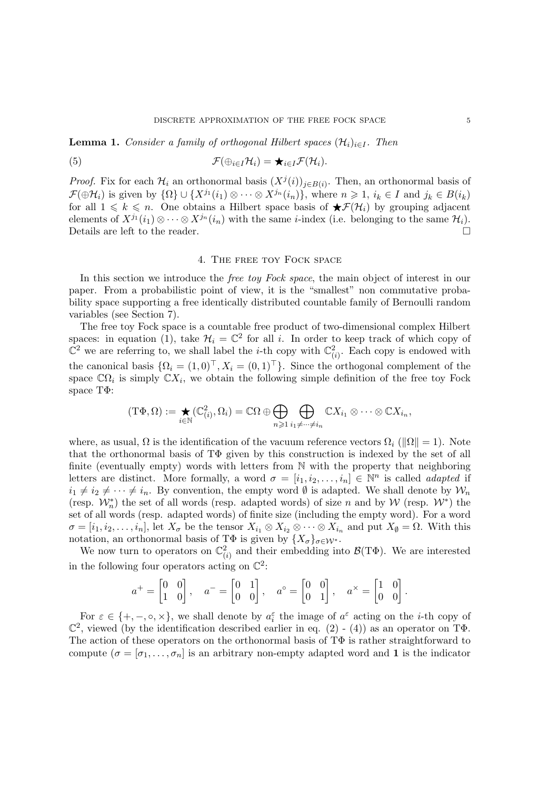**Lemma 1.** *Consider a family of orthogonal Hilbert spaces*  $(\mathcal{H}_i)_{i \in I}$ *. Then* 

(5) 
$$
\mathcal{F}(\oplus_{i\in I}\mathcal{H}_i)=\bigstar_{i\in I}\mathcal{F}(\mathcal{H}_i).
$$

*Proof.* Fix for each  $\mathcal{H}_i$  an orthonormal basis  $(X^j(i))_{j\in B(i)}$ . Then, an orthonormal basis of  $\mathcal{F}(\oplus\mathcal{H}_i)$  is given by  $\{\Omega\}\cup\{X^{j_1}(i_1)\otimes\cdots\otimes X^{j_n}(i_n)\}\)$ , where  $n\geqslant 1$ ,  $i_k\in I$  and  $j_k\in B(i_k)$ for all  $1 \leq k \leq n$ . One obtains a Hilbert space basis of  $\bigstar\mathcal{F}(\mathcal{H}_i)$  by grouping adjacent elements of  $X^{j_1}(i_1) \otimes \cdots \otimes X^{j_n}(i_n)$  with the same *i*-index (i.e. belonging to the same  $\mathcal{H}_i$ ).<br>Details are left to the reader. Details are left to the reader.

## 4. The free toy Fock space

In this section we introduce the *free toy Fock space*, the main object of interest in our paper. From a probabilistic point of view, it is the "smallest" non commutative probability space supporting a free identically distributed countable family of Bernoulli random variables (see Section 7).

The free toy Fock space is a countable free product of two-dimensional complex Hilbert spaces: in equation (1), take  $\mathcal{H}_i = \mathbb{C}^2$  for all i. In order to keep track of which copy of  $\overline{\mathbb{C}}^2$  we are referring to, we shall label the *i*-th copy with  $\mathbb{C}^2_{(i)}$ . Each copy is endowed with the canonical basis  $\{\Omega_i = (1,0)^\top, X_i = (0,1)^\top\}$ . Since the orthogonal complement of the space  $\mathbb{C}\Omega_i$  is simply  $\mathbb{C}X_i$ , we obtain the following simple definition of the free toy Fock space TΦ:

$$
(\mathrm{T}\Phi,\Omega):=\bigstar_{i\in\mathbb{N}}(\mathbb{C}_{(i)}^2,\Omega_i)=\mathbb{C}\Omega\oplus\bigoplus_{n\geqslant1}\bigoplus_{i_1\neq\cdots\neq i_n}\mathbb{C}X_{i_1}\otimes\cdots\otimes\mathbb{C}X_{i_n},
$$

where, as usual,  $\Omega$  is the identification of the vacuum reference vectors  $\Omega_i$  ( $\|\Omega\|=1$ ). Note that the orthonormal basis of  $T\Phi$  given by this construction is indexed by the set of all finite (eventually empty) words with letters from N with the property that neighboring letters are distinct. More formally, a word  $\sigma = [i_1, i_2, \ldots, i_n] \in \mathbb{N}^n$  is called *adapted* if  $i_1 \neq i_2 \neq \cdots \neq i_n$ . By convention, the empty word  $\emptyset$  is adapted. We shall denote by  $\mathcal{W}_n$ (resp.  $W_n^*$ ) the set of all words (resp. adapted words) of size n and by W (resp.  $W^*$ ) the set of all words (resp. adapted words) of finite size (including the empty word). For a word  $\sigma = [i_1, i_2, \ldots, i_n]$ , let  $X_{\sigma}$  be the tensor  $X_{i_1} \otimes X_{i_2} \otimes \cdots \otimes X_{i_n}$  and put  $X_{\emptyset} = \Omega$ . With this notation, an orthonormal basis of T $\Phi$  is given by  $\{X_{\sigma}\}_{\sigma\in\mathcal{W}^*}$ .

We now turn to operators on  $\mathbb{C}^2_{(i)}$  and their embedding into  $\mathcal{B}(\mathrm{T}\Phi)$ . We are interested in the following four operators acting on  $\mathbb{C}^2$ :

$$
a^+ = \begin{bmatrix} 0 & 0 \\ 1 & 0 \end{bmatrix}, \quad a^- = \begin{bmatrix} 0 & 1 \\ 0 & 0 \end{bmatrix}, \quad a^\circ = \begin{bmatrix} 0 & 0 \\ 0 & 1 \end{bmatrix}, \quad a^\times = \begin{bmatrix} 1 & 0 \\ 0 & 0 \end{bmatrix}.
$$

For  $\varepsilon \in \{+, -, \circ, \times\}$ , we shall denote by  $a_i^{\varepsilon}$  the image of  $a^{\varepsilon}$  acting on the *i*-th copy of  $\mathbb{C}^2$ , viewed (by the identification described earlier in eq. (2) - (4)) as an operator on T $\Phi$ . The action of these operators on the orthonormal basis of TΦ is rather straightforward to compute  $(\sigma = [\sigma_1, \ldots, \sigma_n]$  is an arbitrary non-empty adapted word and 1 is the indicator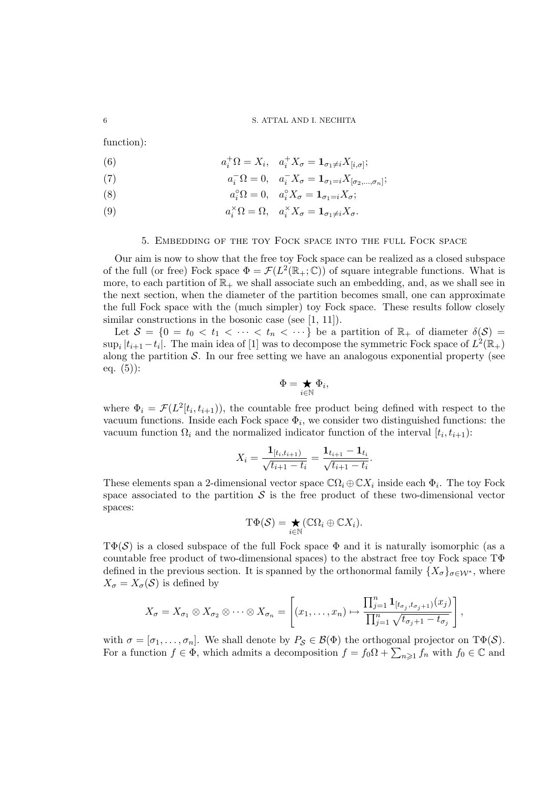function):

(6)  $a_i^{\dagger} \Omega = X_i, \quad a_i^{\dagger} X_{\sigma} = \mathbf{1}_{\sigma_1 \neq i} X_{[i,\sigma]};$ 

(7) 
$$
a_i^-\Omega = 0, \quad a_i^-X_\sigma = \mathbf{1}_{\sigma_1=i}X_{[\sigma_2,\ldots,\sigma_n]};
$$

(8) 
$$
a_i^{\circ} \Omega = 0, \quad a_i^{\circ} X_{\sigma} = \mathbf{1}_{\sigma_1 = i} X_{\sigma};
$$

(9)  $a_i^{\times} \Omega = \Omega, \quad a_i^{\times} X_{\sigma} = \mathbf{1}_{\sigma_1 \neq i} X_{\sigma}.$ 

## 5. Embedding of the toy Fock space into the full Fock space

Our aim is now to show that the free toy Fock space can be realized as a closed subspace of the full (or free) Fock space  $\Phi = \mathcal{F}(L^2(\mathbb{R}_+;\mathbb{C}))$  of square integrable functions. What is more, to each partition of  $\mathbb{R}_+$  we shall associate such an embedding, and, as we shall see in the next section, when the diameter of the partition becomes small, one can approximate the full Fock space with the (much simpler) toy Fock space. These results follow closely similar constructions in the bosonic case (see [1, 11]).

Let  $S = \{0 = t_0 < t_1 < \cdots < t_n < \cdots \}$  be a partition of  $\mathbb{R}_+$  of diameter  $\delta(S) =$  $\sup_i |t_{i+1} - t_i|$ . The main idea of [1] was to decompose the symmetric Fock space of  $L^2(\mathbb{R}_+)$ along the partition  $S$ . In our free setting we have an analogous exponential property (see eq.  $(5)$ :

$$
\Phi = \bigstar_{i \in \mathbb{N}} \Phi_i,
$$

where  $\Phi_i = \mathcal{F}(L^2[t_i, t_{i+1})$ , the countable free product being defined with respect to the vacuum functions. Inside each Fock space  $\Phi_i$ , we consider two distinguished functions: the vacuum function  $\Omega_i$  and the normalized indicator function of the interval  $[t_i, t_{i+1})$ :

$$
X_i = \frac{\mathbf{1}_{[t_i, t_{i+1})}}{\sqrt{t_{i+1} - t_i}} = \frac{\mathbf{1}_{t_{i+1}} - \mathbf{1}_{t_i}}{\sqrt{t_{i+1} - t_i}}.
$$

These elements span a 2-dimensional vector space  $\mathbb{C}\Omega_i \oplus \mathbb{C}X_i$  inside each  $\Phi_i$ . The toy Fock space associated to the partition  $\mathcal S$  is the free product of these two-dimensional vector spaces:

$$
\mathrm{T}\Phi(\mathcal{S})=\bigstar_{i\in\mathbb{N}}(\mathbb{C}\Omega_i\oplus\mathbb{C}X_i).
$$

 $T\Phi(\mathcal{S})$  is a closed subspace of the full Fock space  $\Phi$  and it is naturally isomorphic (as a countable free product of two-dimensional spaces) to the abstract free toy Fock space TΦ defined in the previous section. It is spanned by the orthonormal family  $\{X_{\sigma}\}_{{\sigma}\in\mathcal{W}^*}$ , where  $X_{\sigma} = X_{\sigma}(\mathcal{S})$  is defined by

$$
X_{\sigma} = X_{\sigma_1} \otimes X_{\sigma_2} \otimes \cdots \otimes X_{\sigma_n} = \left[ (x_1, \ldots, x_n) \mapsto \frac{\prod_{j=1}^n \mathbf{1}_{[t_{\sigma_j}, t_{\sigma_j+1})}(x_j)}{\prod_{j=1}^n \sqrt{t_{\sigma_j+1} - t_{\sigma_j}}} \right]
$$

,

with  $\sigma = [\sigma_1, \ldots, \sigma_n]$ . We shall denote by  $P_{\mathcal{S}} \in \mathcal{B}(\Phi)$  the orthogonal projector on  $T\Phi(\mathcal{S})$ . For a function  $f \in \Phi$ , which admits a decomposition  $f = f_0 \Omega + \sum_{n \geq 1} f_n$  with  $f_0 \in \mathbb{C}$  and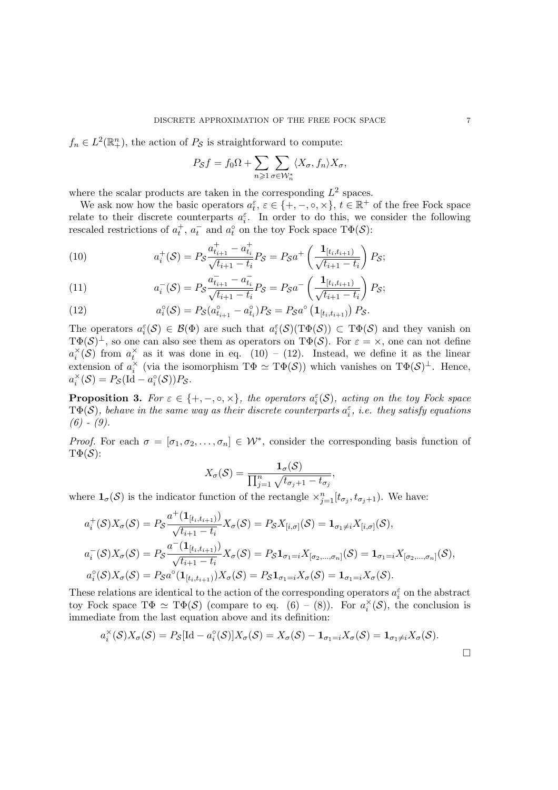$f_n \in L^2(\mathbb{R}^n_+)$ , the action of  $P_{\mathcal{S}}$  is straightforward to compute:

$$
P_S f = f_0 \Omega + \sum_{n \geqslant 1} \sum_{\sigma \in \mathcal{W}_n^*} \langle X_{\sigma}, f_n \rangle X_{\sigma},
$$

where the scalar products are taken in the corresponding  $L^2$  spaces.

We ask now how the basic operators  $a_t^{\varepsilon}$ ,  $\varepsilon \in \{+, -, \circ, \times\}, t \in \mathbb{R}^+$  of the free Fock space relate to their discrete counterparts  $a_i^{\varepsilon}$ . In order to do this, we consider the following rescaled restrictions of  $a_t^+$ ,  $a_t^-$  and  $a_t^{\circ}$  on the toy Fock space  $T\Phi(\mathcal{S})$ :

(10) 
$$
a_i^+(\mathcal{S}) = P_{\mathcal{S}} \frac{a_{t_{i+1}}^+ - a_{t_i}^+}{\sqrt{t_{i+1} - t_i}} P_{\mathcal{S}} = P_{\mathcal{S}} a^+ \left( \frac{\mathbf{1}_{[t_i, t_{i+1})}}{\sqrt{t_{i+1} - t_i}} \right) P_{\mathcal{S}};
$$

(11) 
$$
a_i^-(\mathcal{S}) = P_{\mathcal{S}} \frac{a_{t_{i+1}}^- - a_{t_i}^-}{\sqrt{t_{i+1} - t_i}} P_{\mathcal{S}} = P_{\mathcal{S}} a^- \left( \frac{\mathbf{1}_{[t_i, t_{i+1})}}{\sqrt{t_{i+1} - t_i}} \right) P_{\mathcal{S}};
$$

(12) 
$$
a_i^{\circ}(\mathcal{S}) = P_{\mathcal{S}}(a_{t_{i+1}}^{\circ} - a_{t_i}^{\circ})P_{\mathcal{S}} = P_{\mathcal{S}}a^{\circ}(\mathbf{1}_{[t_i,t_{i+1})})P_{\mathcal{S}}.
$$

The operators  $a_i^{\varepsilon}(\mathcal{S}) \in \mathcal{B}(\Phi)$  are such that  $a_i^{\varepsilon}(\mathcal{S})(T\Phi(\mathcal{S})) \subset T\Phi(\mathcal{S})$  and they vanish on  $T\Phi(\mathcal{S})^{\perp}$ , so one can also see them as operators on  $T\Phi(\mathcal{S})$ . For  $\varepsilon = \times$ , one can not define  $a_i^{\times}(\mathcal{S})$  from  $a_t^{\times}$  as it was done in eq. (10) – (12). Instead, we define it as the linear extension of  $a_i^{\times}$  (via the isomorphism  $\mathrm{T}\Phi \simeq \mathrm{T}\Phi(\mathcal{S})$ ) which vanishes on  $\mathrm{T}\Phi(\mathcal{S})^{\perp}$ . Hence,  $a_i^{\times}(\mathcal{S}) = P_{\mathcal{S}}(\text{Id} - a_i^{\circ}(\mathcal{S}))P_{\mathcal{S}}.$ 

**Proposition 3.** For  $\varepsilon \in \{+, -, \circ, \times\}$ , the operators  $a_i^{\varepsilon}(\mathcal{S})$ , acting on the toy Fock space  $T\Phi(\mathcal{S})$ , behave in the same way as their discrete counterparts  $a_i^{\varepsilon}$ , *i.e.* they satisfy equations *(6) - (9).*

*Proof.* For each  $\sigma = [\sigma_1, \sigma_2, \dots, \sigma_n] \in \mathcal{W}^*$ , consider the corresponding basis function of  $\mathrm{T}\Phi(\mathcal{S})$ :

,

$$
X_{\sigma}(\mathcal{S}) = \frac{\mathbf{1}_{\sigma}(\mathcal{S})}{\prod_{j=1}^{n} \sqrt{t_{\sigma_j+1} - t_{\sigma_j}}}
$$

where  $\mathbf{1}_{\sigma}(\mathcal{S})$  is the indicator function of the rectangle  $\times_{j=1}^{n}[t_{\sigma_j}, t_{\sigma_j+1})$ . We have:

$$
a_i^+(\mathcal{S})X_{\sigma}(\mathcal{S}) = P_{\mathcal{S}} \frac{a^+(\mathbf{1}_{[t_i, t_{i+1})})}{\sqrt{t_{i+1} - t_i}} X_{\sigma}(\mathcal{S}) = P_{\mathcal{S}} X_{[i, \sigma]}(\mathcal{S}) = \mathbf{1}_{\sigma_1 \neq i} X_{[i, \sigma]}(\mathcal{S}),
$$
  
\n
$$
a_i^-(\mathcal{S})X_{\sigma}(\mathcal{S}) = P_{\mathcal{S}} \frac{a^-(\mathbf{1}_{[t_i, t_{i+1})})}{\sqrt{t_{i+1} - t_i}} X_{\sigma}(\mathcal{S}) = P_{\mathcal{S}} \mathbf{1}_{\sigma_1 = i} X_{[\sigma_2, \dots, \sigma_n]}(\mathcal{S}) = \mathbf{1}_{\sigma_1 = i} X_{[\sigma_2, \dots, \sigma_n]}(\mathcal{S}),
$$
  
\n
$$
a_i^{\circ}(\mathcal{S})X_{\sigma}(\mathcal{S}) = P_{\mathcal{S}} a^{\circ}(\mathbf{1}_{[t_i, t_{i+1})}) X_{\sigma}(\mathcal{S}) = P_{\mathcal{S}} \mathbf{1}_{\sigma_1 = i} X_{\sigma}(\mathcal{S}) = \mathbf{1}_{\sigma_1 = i} X_{\sigma}(\mathcal{S}).
$$

These relations are identical to the action of the corresponding operators  $a_i^{\varepsilon}$  on the abstract toy Fock space  $T\Phi \simeq T\Phi(\mathcal{S})$  (compare to eq. (6) – (8)). For  $a_i^{\times}(\mathcal{S})$ , the conclusion is immediate from the last equation above and its definition:

$$
a_i^{\times}(\mathcal{S})X_{\sigma}(\mathcal{S}) = P_{\mathcal{S}}[\mathrm{Id} - a_i^{\circ}(\mathcal{S})]X_{\sigma}(\mathcal{S}) = X_{\sigma}(\mathcal{S}) - \mathbf{1}_{\sigma_1 = i}X_{\sigma}(\mathcal{S}) = \mathbf{1}_{\sigma_1 \neq i}X_{\sigma}(\mathcal{S}).
$$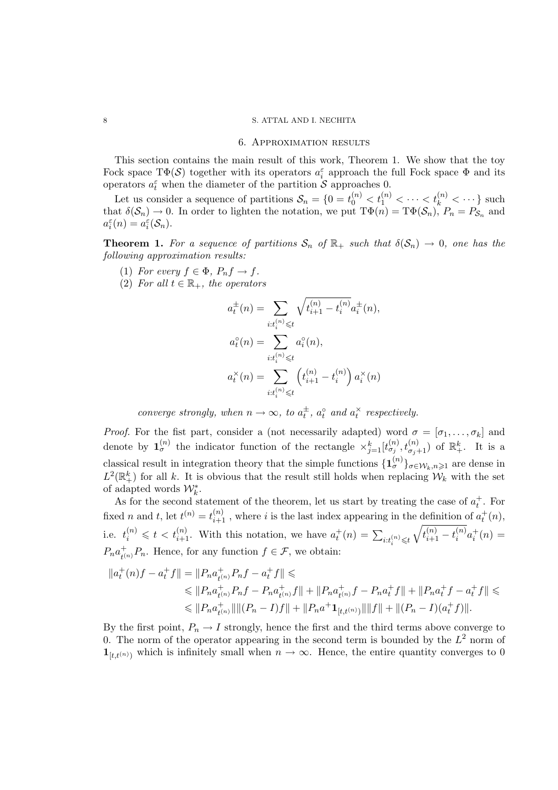#### 6. Approximation results

This section contains the main result of this work, Theorem 1. We show that the toy Fock space  $T\Phi(\mathcal{S})$  together with its operators  $a_i^{\varepsilon}$  approach the full Fock space  $\Phi$  and its operators  $a_t^{\varepsilon}$  when the diameter of the partition S approaches 0.

Let us consider a sequence of partitions  $S_n = \{0 = t_0^{(n)} \le t_1^{(n)} \le \cdots \le t_k^{(n)} \le \cdots \}$  such that  $\delta(\mathcal{S}_n) \to 0$ . In order to lighten the notation, we put  $\mathrm{T}\Phi(n) = \mathrm{T}\Phi(\mathcal{S}_n)$ ,  $P_n = P_{\mathcal{S}_n}$  and  $a_i^{\varepsilon}(n) = a_i^{\varepsilon}(\mathcal{S}_n).$ 

**Theorem 1.** For a sequence of partitions  $S_n$  of  $\mathbb{R}_+$  such that  $\delta(S_n) \to 0$ , one has the *following approximation results:*

- (1) *For every*  $f \in \Phi$ *,*  $P_n f \to f$ *.*
- (2) *For all*  $t \in \mathbb{R}_+$ *, the operators*

$$
a_t^{\pm}(n) = \sum_{i:t_i^{(n)} \le t} \sqrt{t_{i+1}^{(n)} - t_i^{(n)}} a_i^{\pm}(n),
$$
  

$$
a_t^{\circ}(n) = \sum_{i:t_i^{(n)} \le t} a_i^{\circ}(n),
$$
  

$$
a_t^{\times}(n) = \sum_{i:t_i^{(n)} \le t} \left(t_{i+1}^{(n)} - t_i^{(n)}\right) a_i^{\times}(n)
$$

*converge strongly, when*  $n \to \infty$ *, to*  $a_t^{\pm}$ *,*  $a_t^{\circ}$  *and*  $a_t^{\times}$  *respectively.* 

*Proof.* For the fist part, consider a (not necessarily adapted) word  $\sigma = [\sigma_1, \ldots, \sigma_k]$  and denote by  $\mathbf{1}_{\sigma}^{(n)}$  the indicator function of the rectangle  $\times_{j=1}^{k} [t_{\sigma_j}^{(n)}, t_{\sigma_j+1}^{(n)})$  of  $\mathbb{R}^k_+$ . It is a classical result in integration theory that the simple functions  $\{\mathbf{1}_{\sigma}^{(n)}\}_{\sigma \in \mathcal{W}_k, n\geq 1}$  are dense in  $L^2(\mathbb{R}^k_+)$  for all k. It is obvious that the result still holds when replacing  $\mathcal{W}_k$  with the set of adapted words  $\mathcal{W}_k^*$ .

As for the second statement of the theorem, let us start by treating the case of  $a_t^+$ . For fixed *n* and *t*, let  $t^{(n)} = t_{i+1}^{(n)}$ , where *i* is the last index appearing in the definition of  $a_t^+(n)$ , i.e.  $t_i^{(n)} \leq t < t_{i+1}^{(n)}$ . With this notation, we have  $a_t^+(n) = \sum_{i:t_i^{(n)} \leq t}$  $\sqrt{t_{i+1}^{(n)} - t_i^{(n)}}$  $i^{(n)} a_i^+(n) =$  $P_na_{\scriptscriptstyle{f}}^+$  $_{t^{(n)}}^{\dagger}P_n$ . Hence, for any function  $f \in \mathcal{F}$ , we obtain:

$$
||a_t^+(n)f - a_t^+f|| = ||P_n a_{t^{(n)}}^+ P_nf - a_t^+f|| \le
$$
  
\n
$$
\le ||P_n a_{t^{(n)}}^+ P_nf - P_n a_{t^{(n)}}^+ f|| + ||P_n a_{t^{(n)}}^+ f - P_n a_t^+ f|| + ||P_n a_t^+ f - a_t^+ f|| \le
$$
  
\n
$$
\le ||P_n a_{t^{(n)}}^+ || ||(P_n - I)f|| + ||P_n a^+ \mathbf{1}_{[t,t^{(n)})} || ||f|| + ||(P_n - I)(a_t^+ f)||.
$$

By the first point,  $P_n \to I$  strongly, hence the first and the third terms above converge to 0. The norm of the operator appearing in the second term is bounded by the  $L^2$  norm of  $\mathbf{1}_{[t,t^{(n)})}$  which is infinitely small when  $n \to \infty$ . Hence, the entire quantity converges to 0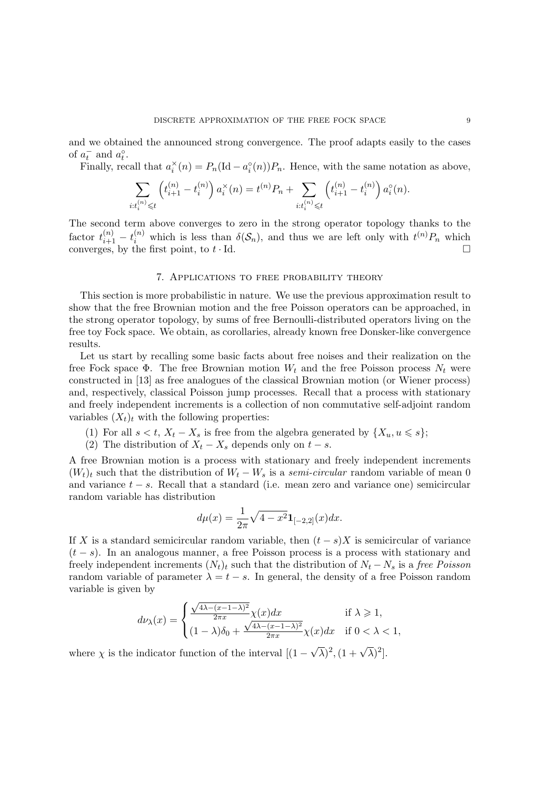and we obtained the announced strong convergence. The proof adapts easily to the cases of  $a_t^-$  and  $a_t^{\circ}$ .

Finally, recall that  $a_i^{\times}(n) = P_n(\text{Id} - a_i^{\circ}(n))P_n$ . Hence, with the same notation as above,

$$
\sum_{i:t_i^{(n)} \leq t} \left( t_{i+1}^{(n)} - t_i^{(n)} \right) a_i^{\times}(n) = t^{(n)} P_n + \sum_{i:t_i^{(n)} \leq t} \left( t_{i+1}^{(n)} - t_i^{(n)} \right) a_i^{\circ}(n).
$$

The second term above converges to zero in the strong operator topology thanks to the factor  $t_{i+1}^{(n)} - t_i^{(n)}$  which is less than  $\delta(\mathcal{S}_n)$ , and thus we are left only with  $t^{(n)}P_n$  which converges, by the first point, to  $t \cdot \text{Id}$ .

## 7. Applications to free probability theory

This section is more probabilistic in nature. We use the previous approximation result to show that the free Brownian motion and the free Poisson operators can be approached, in the strong operator topology, by sums of free Bernoulli-distributed operators living on the free toy Fock space. We obtain, as corollaries, already known free Donsker-like convergence results.

Let us start by recalling some basic facts about free noises and their realization on the free Fock space  $\Phi$ . The free Brownian motion  $W_t$  and the free Poisson process  $N_t$  were constructed in [13] as free analogues of the classical Brownian motion (or Wiener process) and, respectively, classical Poisson jump processes. Recall that a process with stationary and freely independent increments is a collection of non commutative self-adjoint random variables  $(X_t)_t$  with the following properties:

- (1) For all  $s < t$ ,  $X_t X_s$  is free from the algebra generated by  $\{X_u, u \leq s\}$ ;
- (2) The distribution of  $X_t X_s$  depends only on  $t s$ .

A free Brownian motion is a process with stationary and freely independent increments  $(W_t)_t$  such that the distribution of  $W_t - W_s$  is a *semi-circular* random variable of mean 0 and variance  $t - s$ . Recall that a standard (i.e. mean zero and variance one) semicircular random variable has distribution

$$
d\mu(x) = \frac{1}{2\pi} \sqrt{4 - x^2} \mathbf{1}_{[-2,2]}(x) dx.
$$

If X is a standard semicircular random variable, then  $(t - s)X$  is semicircular of variance  $(t - s)$ . In an analogous manner, a free Poisson process is a process with stationary and freely independent increments  $(N_t)_t$  such that the distribution of  $N_t - N_s$  is a *free Poisson* random variable of parameter  $\lambda = t - s$ . In general, the density of a free Poisson random variable is given by

$$
d\nu_\lambda(x)=\begin{cases}\frac{\sqrt{4\lambda-(x-1-\lambda)^2}}{2\pi x}\chi(x)dx&\text{if }\lambda\geqslant 1,\\ (1-\lambda)\delta_0+\frac{\sqrt{4\lambda-(x-1-\lambda)^2}}{2\pi x}\chi(x)dx&\text{if }0<\lambda<1,\end{cases}
$$

where  $\chi$  is the indicator function of the interval  $[(1 - \sqrt{\lambda})^2, (1 + \sqrt{\lambda})^2]$ .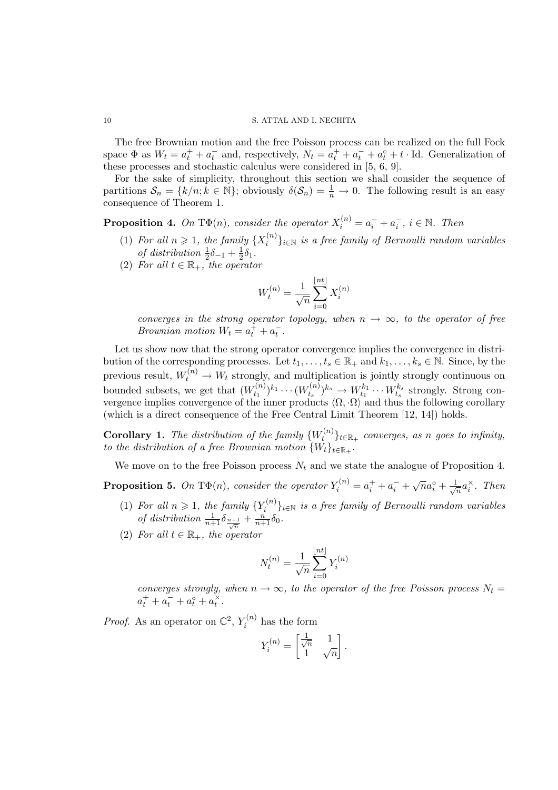The free Brownian motion and the free Poisson process can be realized on the full Fock space  $\Phi$  as  $W_t = a_t^+ + a_t^-$  and, respectively,  $N_t = a_t^+ + a_t^- + a_t^+ + t$ . Id. Generalization of these processes and stochastic calculus were considered in [5, 6, 9].

For the sake of simplicity, throughout this section we shall consider the sequence of partitions  $S_n = \{k/n; k \in \mathbb{N}\}$ ; obviously  $\delta(S_n) = \frac{1}{n} \to 0$ . The following result is an easy consequence of Theorem 1.

**Proposition 4.** On T $\Phi(n)$ , consider the operator  $X_i^{(n)} = a_i^+ + a_i^-$ ,  $i \in \mathbb{N}$ . Then

- (1) For all  $n \geqslant 1$ , the family  $\{X_i^{(n)}\}$ i }i∈<sup>N</sup> *is a free family of Bernoulli random variables* of distribution  $\frac{1}{2}\delta_{-1} + \frac{1}{2}$  $rac{1}{2}\delta_1$ .
- (2) For all  $t \in \mathbb{R}_+$ , the operator

$$
W_t^{(n)} = \frac{1}{\sqrt{n}} \sum_{i=0}^{\lfloor nt \rfloor} X_i^{(n)}
$$

*converges in the strong operator topology, when*  $n \to \infty$ *, to the operator of free Brownian motion*  $W_t = a_t^+ + a_t^-$ .

Let us show now that the strong operator convergence implies the convergence in distribution of the corresponding processes. Let  $t_1, \ldots, t_s \in \mathbb{R}_+$  and  $k_1, \ldots, k_s \in \mathbb{N}$ . Since, by the previous result,  $W_t^{(n)} \to W_t$  strongly, and multiplication is jointly strongly continuous on bounded subsets, we get that  $(W_{t_1}^{(n)})$  $(t_1^{(n)})^{k_1} \cdots (W_{t_s}^{(n)})$  $(t_n^{(n)})^{k_s} \rightarrow W_{t_1}^{k_1} \cdots W_{t_s}^{k_s}$  strongly. Strong convergence implies convergence of the inner products  $\langle \Omega, \cdot \Omega \rangle$  and thus the following corollary (which is a direct consequence of the Free Central Limit Theorem [12, 14]) holds.

**Corollary 1.** The distribution of the family  $\{W_t^{(n)}\}$  $\{t^{(n)}\}_{t\in\mathbb{R}_+}$  *converges, as n goes to infinity, to the distribution of a free Brownian motion*  $\{W_t\}_{t \in \mathbb{R}_+}$ .

We move on to the free Poisson process  $N_t$  and we state the analogue of Proposition 4.

**Proposition 5.** On T $\Phi(n)$ , consider the operator  $Y_i^{(n)} = a_i^+ + a_i^- + \sqrt{n}a_i^{\circ} + \frac{1}{\sqrt{n}}a_i^{\circ}$  $\overline{a}$ <sup>x</sup>. Then

- (1) For all  $n \geq 1$ , the family  ${Y_i^{(n)}}$ i }i∈<sup>N</sup> *is a free family of Bernoulli random variables of distribution*  $\frac{1}{n+1}\delta_{\frac{n+1}{\sqrt{n}}} + \frac{n}{n+1}\delta_0$ .
- (2) For all  $t \in \mathbb{R}_+$ , the operator

$$
N_t^{(n)} = \frac{1}{\sqrt{n}} \sum_{i=0}^{\lfloor nt \rfloor} Y_i^{(n)}
$$

*converges strongly, when*  $n \to \infty$ *, to the operator of the free Poisson process*  $N_t =$  $a_t^+ + a_t^- + a_t^{\circ} + a_t^{\times}.$ 

*Proof.* As an operator on  $\mathbb{C}^2$ ,  $Y_i^{(n)}$  $\tilde{t}_i^{(n)}$  has the form

$$
Y_i^{(n)} = \begin{bmatrix} \frac{1}{\sqrt{n}} & 1\\ 1 & \sqrt{n} \end{bmatrix}.
$$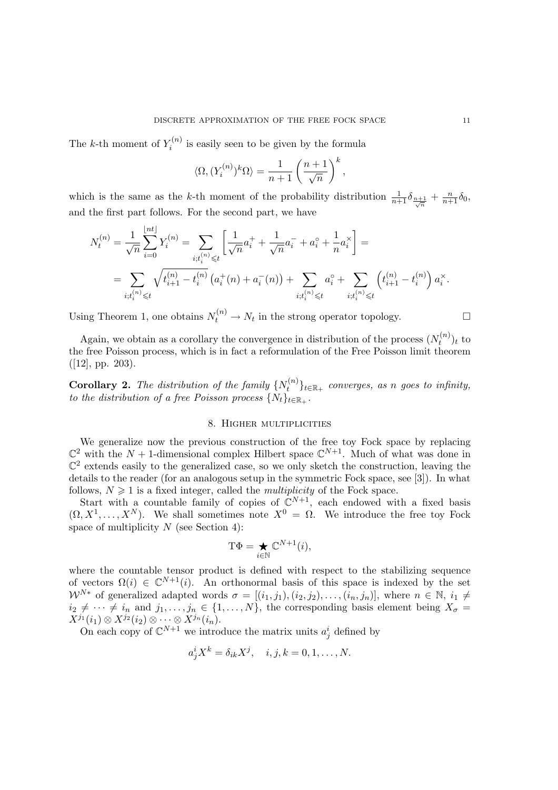The k-th moment of  $Y_i^{(n)}$  $i^{(n)}$  is easily seen to be given by the formula

$$
\langle \Omega, (Y_i^{(n)})^k \Omega \rangle = \frac{1}{n+1} \left( \frac{n+1}{\sqrt{n}} \right)^k,
$$

which is the same as the k-th moment of the probability distribution  $\frac{1}{n+1}\delta_{\frac{n+1}{\sqrt{n}}}+\frac{n}{n+1}\delta_0$ , and the first part follows. For the second part, we have

$$
N_t^{(n)} = \frac{1}{\sqrt{n}} \sum_{i=0}^{\lfloor nt \rfloor} Y_i^{(n)} = \sum_{i;t_i^{(n)} \leq t} \left[ \frac{1}{\sqrt{n}} a_i^+ + \frac{1}{\sqrt{n}} a_i^- + a_i^{\circ} + \frac{1}{n} a_i^{\times} \right] =
$$
  
= 
$$
\sum_{i;t_i^{(n)} \leq t} \sqrt{t_{i+1}^{(n)} - t_i^{(n)}} \left( a_i^+(n) + a_i^-(n) \right) + \sum_{i;t_i^{(n)} \leq t} a_i^{\circ} + \sum_{i;t_i^{(n)} \leq t} \left( t_{i+1}^{(n)} - t_i^{(n)} \right) a_i^{\times}.
$$

Using Theorem 1, one obtains  $N_t^{(n)} \to N_t$  in the strong operator topology.

Again, we obtain as a corollary the convergence in distribution of the process  $(N_t^{(n)})$  $(t^{(n)})_t$  to the free Poisson process, which is in fact a reformulation of the Free Poisson limit theorem ([12], pp. 203).

**Corollary 2.** The distribution of the family  $\{N_t^{(n)}\}$  $\{t^{(n)}\}_{t\in\mathbb{R}_+}$  converges, as *n* goes to infinity, *to the distribution of a free Poisson process*  $\{N_t\}_{t \in \mathbb{R}_+}$ .

## 8. Higher multiplicities

We generalize now the previous construction of the free toy Fock space by replacing  $\mathbb{C}^2$  with the  $N+1$ -dimensional complex Hilbert space  $\mathbb{C}^{N+1}$ . Much of what was done in  $\mathbb{C}^2$  extends easily to the generalized case, so we only sketch the construction, leaving the details to the reader (for an analogous setup in the symmetric Fock space, see [3]). In what follows,  $N \geq 1$  is a fixed integer, called the *multiplicity* of the Fock space.

Start with a countable family of copies of  $\mathbb{C}^{N+1}$ , each endowed with a fixed basis  $(\Omega, X^1, \ldots, X^N)$ . We shall sometimes note  $X^0 = \Omega$ . We introduce the free toy Fock space of multiplicity  $N$  (see Section 4):

$$
\mathbf{T}\Phi=\bigstar_{i\in\mathbb{N}}\mathbb{C}^{N+1}(i),
$$

where the countable tensor product is defined with respect to the stabilizing sequence of vectors  $\Omega(i) \in \mathbb{C}^{N+1}(i)$ . An orthonormal basis of this space is indexed by the set  $W^{N*}$  of generalized adapted words  $\sigma = [(i_1, j_1), (i_2, j_2), \ldots, (i_n, j_n)],$  where  $n \in \mathbb{N}, i_1 \neq j$  $i_2 \neq \cdots \neq i_n$  and  $j_1, \ldots, j_n \in \{1, \ldots, N\}$ , the corresponding basis element being  $X_{\sigma}$  $X^{j_1}(i_1) \otimes X^{j_2}(i_2) \otimes \cdots \otimes X^{j_n}(i_n).$ 

On each copy of  $\mathbb{C}^{N+1}$  we introduce the matrix units  $a_j^i$  defined by

$$
a_j^i X^k = \delta_{ik} X^j, \quad i, j, k = 0, 1, \dots, N.
$$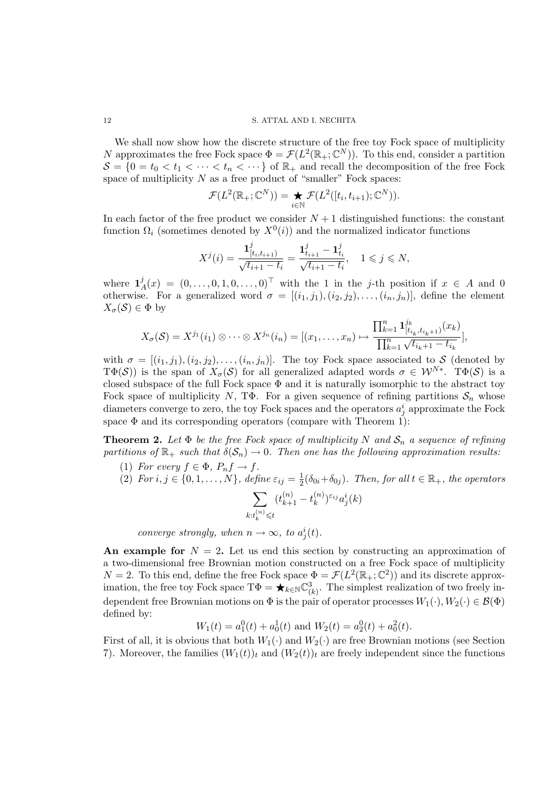We shall now show how the discrete structure of the free toy Fock space of multiplicity N approximates the free Fock space  $\Phi = \mathcal{F}(L^2(\mathbb{R}_+;\mathbb{C}^N))$ . To this end, consider a partition  $S = \{0 = t_0 < t_1 < \cdots < t_n < \cdots\}$  of  $\mathbb{R}_+$  and recall the decomposition of the free Fock space of multiplicity  $N$  as a free product of "smaller" Fock spaces:

$$
\mathcal{F}(L^2(\mathbb{R}_+;\mathbb{C}^N))=\bigstar_{i\in\mathbb{N}}\mathcal{F}(L^2([t_i,t_{i+1});\mathbb{C}^N)).
$$

In each factor of the free product we consider  $N+1$  distinguished functions: the constant function  $\Omega_i$  (sometimes denoted by  $X^0(i)$ ) and the normalized indicator functions

$$
X^{j}(i) = \frac{\mathbf{1}_{[t_{i}, t_{i+1})}^{j}}{\sqrt{t_{i+1} - t_{i}}} = \frac{\mathbf{1}_{t_{i+1}}^{j} - \mathbf{1}_{t_{i}}^{j}}{\sqrt{t_{i+1} - t_{i}}}, \quad 1 \leq j \leq N,
$$

where  $\mathbf{1}_{\ell}^{j}$  $\mathcal{A}(x) = (0, \ldots, 0, 1, 0, \ldots, 0)^\top$  with the 1 in the j-th position if  $x \in A$  and 0 otherwise. For a generalized word  $\sigma = [(i_1, j_1), (i_2, j_2), \ldots, (i_n, j_n)],$  define the element  $X_{\sigma}(\mathcal{S}) \in \Phi$  by

$$
X_{\sigma}(\mathcal{S}) = X^{j_1}(i_1) \otimes \cdots \otimes X^{j_n}(i_n) = [(x_1, \ldots, x_n) \mapsto \frac{\prod_{k=1}^n \mathbf{1}_{[t_{i_k}, t_{i_k+1})}^{j_k}(x_k)}{\prod_{k=1}^n \sqrt{t_{i_k+1} - t_{i_k}}}],
$$

with  $\sigma = [(i_1, j_1), (i_2, j_2), \ldots, (i_n, j_n)]$ . The toy Fock space associated to S (denoted by T $\Phi(S)$ ) is the span of  $X_{\sigma}(S)$  for all generalized adapted words  $\sigma \in \mathcal{W}^{N*}$ . T $\Phi(S)$  is a closed subspace of the full Fock space  $\Phi$  and it is naturally isomorphic to the abstract toy Fock space of multiplicity N, TΦ. For a given sequence of refining partitions  $S_n$  whose diameters converge to zero, the toy Fock spaces and the operators  $a_j^i$  approximate the Fock space  $\Phi$  and its corresponding operators (compare with Theorem 1):

**Theorem 2.** Let  $\Phi$  be the free Fock space of multiplicity N and  $S_n$  a sequence of refining *partitions of*  $\mathbb{R}_+$  *such that*  $\delta(\mathcal{S}_n) \to 0$ *. Then one has the following approximation results:* 

- (1) *For every*  $f \in \Phi$ *,*  $P_n f \to f$ *.*
- (2)  $For i, j \in \{0, 1, ..., N\}, define \varepsilon_{ij} = \frac{1}{2}$  $\frac{1}{2}(\delta_{0i} + \delta_{0j})$ *. Then, for all*  $t \in \mathbb{R}_+$ *, the operators*

$$
\sum_{k:t_k^{(n)}\leqslant t}(t_{k+1}^{(n)}-t_k^{(n)})^{\varepsilon_{ij}}a_j^i(k)
$$

*converge strongly, when*  $n \to \infty$ *, to*  $a_j^i(t)$ *.* 

An example for  $N = 2$ . Let us end this section by constructing an approximation of a two-dimensional free Brownian motion constructed on a free Fock space of multiplicity  $N = 2$ . To this end, define the free Fock space  $\Phi = \mathcal{F}(L^2(\mathbb{R}_+;\mathbb{C}^2))$  and its discrete approximation, the free toy Fock space  $T\Phi = \bigstar_{k \in \mathbb{N}} \mathbb{C}^3_{(k)}$ . The simplest realization of two freely independent free Brownian motions on  $\Phi$  is the pair of operator processes  $W_1(\cdot), W_2(\cdot) \in \mathcal{B}(\Phi)$ defined by:

$$
W_1(t) = a_1^0(t) + a_0^1(t)
$$
 and  $W_2(t) = a_2^0(t) + a_0^2(t)$ .

First of all, it is obvious that both  $W_1(\cdot)$  and  $W_2(\cdot)$  are free Brownian motions (see Section 7). Moreover, the families  $(W_1(t))_t$  and  $(W_2(t))_t$  are freely independent since the functions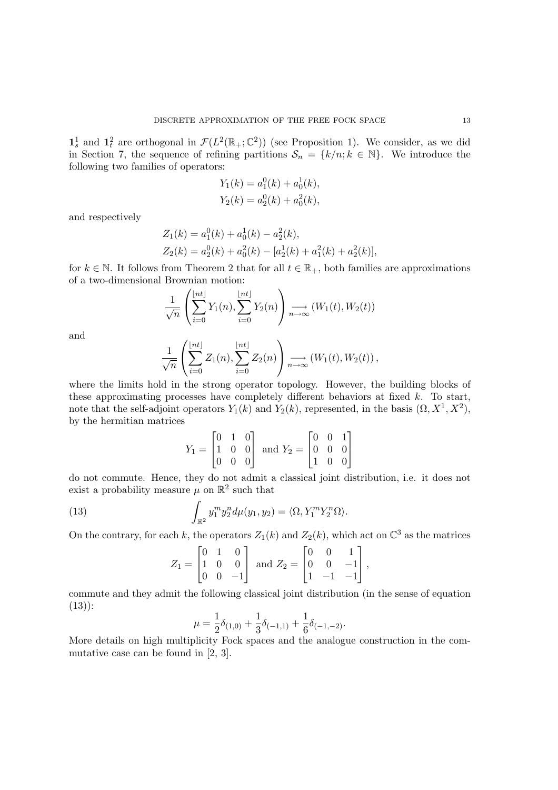$\mathbf{1}_s^1$  and  $\mathbf{1}_t^2$  are orthogonal in  $\mathcal{F}(L^2(\mathbb{R}_+;\mathbb{C}^2))$  (see Proposition 1). We consider, as we did in Section 7, the sequence of refining partitions  $\mathcal{S}_n = \{k/n; k \in \mathbb{N}\}\.$  We introduce the following two families of operators:

$$
Y_1(k) = a_1^0(k) + a_0^1(k),
$$
  

$$
Y_2(k) = a_2^0(k) + a_0^2(k),
$$

and respectively

$$
Z_1(k) = a_1^0(k) + a_0^1(k) - a_2^2(k),
$$
  
\n
$$
Z_2(k) = a_2^0(k) + a_0^2(k) - [a_2^1(k) + a_1^2(k) + a_2^2(k)],
$$

for  $k \in \mathbb{N}$ . It follows from Theorem 2 that for all  $t \in \mathbb{R}_{+}$ , both families are approximations of a two-dimensional Brownian motion:

$$
\frac{1}{\sqrt{n}}\left(\sum_{i=0}^{\lfloor nt \rfloor} Y_1(n), \sum_{i=0}^{\lfloor nt \rfloor} Y_2(n)\right) \underset{n \to \infty}{\longrightarrow} (W_1(t), W_2(t))
$$

and

$$
\frac{1}{\sqrt{n}}\left(\sum_{i=0}^{\lfloor nt \rfloor} Z_1(n),\sum_{i=0}^{\lfloor nt \rfloor} Z_2(n)\right) \underset{n\to\infty}{\longrightarrow} (W_1(t),W_2(t)),
$$

where the limits hold in the strong operator topology. However, the building blocks of these approximating processes have completely different behaviors at fixed  $k$ . To start, note that the self-adjoint operators  $Y_1(k)$  and  $Y_2(k)$ , represented, in the basis  $(\Omega, X^1, X^2)$ , by the hermitian matrices

$$
Y_1 = \begin{bmatrix} 0 & 1 & 0 \\ 1 & 0 & 0 \\ 0 & 0 & 0 \end{bmatrix} \text{ and } Y_2 = \begin{bmatrix} 0 & 0 & 1 \\ 0 & 0 & 0 \\ 1 & 0 & 0 \end{bmatrix}
$$

do not commute. Hence, they do not admit a classical joint distribution, i.e. it does not exist a probability measure  $\mu$  on  $\mathbb{R}^2$  such that

(13) 
$$
\int_{\mathbb{R}^2} y_1^m y_2^n d\mu(y_1, y_2) = \langle \Omega, Y_1^m Y_2^n \Omega \rangle.
$$

On the contrary, for each k, the operators  $Z_1(k)$  and  $Z_2(k)$ , which act on  $\mathbb{C}^3$  as the matrices

$$
Z_1 = \begin{bmatrix} 0 & 1 & 0 \\ 1 & 0 & 0 \\ 0 & 0 & -1 \end{bmatrix} \text{ and } Z_2 = \begin{bmatrix} 0 & 0 & 1 \\ 0 & 0 & -1 \\ 1 & -1 & -1 \end{bmatrix},
$$

commute and they admit the following classical joint distribution (in the sense of equation (13)):

$$
\mu = \frac{1}{2}\delta_{(1,0)} + \frac{1}{3}\delta_{(-1,1)} + \frac{1}{6}\delta_{(-1,-2)}.
$$

More details on high multiplicity Fock spaces and the analogue construction in the commutative case can be found in [2, 3].